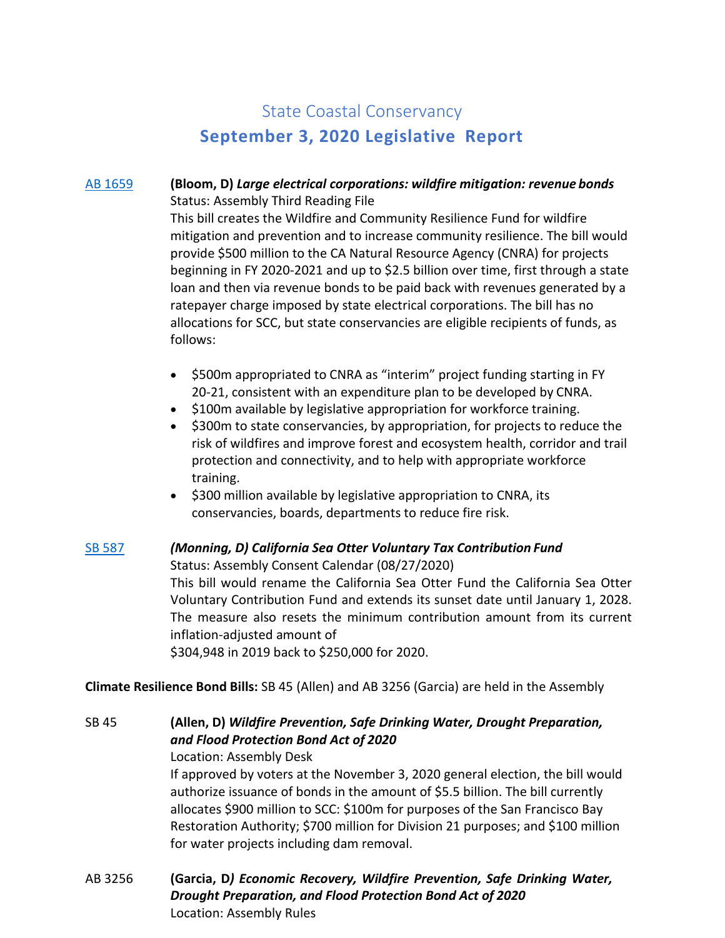# State Coastal Conservancy **September 3, 2020 Legislative Report**

## AB [1659](http://leginfo.legislature.ca.gov/faces/billNavClient.xhtml?bill_id=201920200AB1659) **(Bloom, D)** *Large electrical corporations: wildfire mitigation: revenue bonds* Status: Assembly Third Reading File

This bill creates the Wildfire and Community Resilience Fund for wildfire mitigation and prevention and to increase community resilience. The bill would provide \$500 million to the CA Natural Resource Agency (CNRA) for projects beginning in FY 2020-2021 and up to \$2.5 billion over time, first through a state loan and then via revenue bonds to be paid back with revenues generated by a ratepayer charge imposed by state electrical corporations. The bill has no allocations for SCC, but state conservancies are eligible recipients of funds, as follows:

- \$500m appropriated to CNRA as "interim" project funding starting in FY 20-21, consistent with an expenditure plan to be developed by CNRA.
- \$100m available by legislative appropriation for workforce training.
- \$300m to state conservancies, by appropriation, for projects to reduce the risk of wildfires and improve forest and ecosystem health, corridor and trail protection and connectivity, and to help with appropriate workforce training.
- \$300 million available by legislative appropriation to CNRA, its conservancies, boards, departments to reduce fire risk.

#### SB [587](http://leginfo.legislature.ca.gov/faces/billNavClient.xhtml?bill_id=201920200SB587) *(Monning, D) California Sea Otter Voluntary Tax Contribution Fund*

Status: Assembly Consent Calendar (08/27/2020)

This bill would rename the California Sea Otter Fund the California Sea Otter Voluntary Contribution Fund and extends its sunset date until January 1, 2028. The measure also resets the minimum contribution amount from its current inflation-adjusted amount of \$304,948 in 2019 back to \$250,000 for 2020.

## **Climate Resilience Bond Bills:** SB 45 (Allen) and AB 3256 (Garcia) are held in the Assembly

SB [45](http://leginfo.legislature.ca.gov/faces/billNavClient.xhtml?bill_id=201920200SB45) **(Allen, D)** *Wildfire Prevention, Safe Drinking Water, Drought Preparation, and Flood Protection Bond Act of 2020* Location: Assembly Desk

> If approved by voters at the November 3, 2020 general election, the bill would authorize issuance of bonds in the amount of \$5.5 billion. The bill currently allocates \$900 million to SCC: \$100m for purposes of the San Francisco Bay Restoration Authority; \$700 million for Division 21 purposes; and \$100 million for water projects including dam removal.

AB [3256](http://leginfo.legislature.ca.gov/faces/billNavClient.xhtml?bill_id=201920200AB3256) **(Garcia, D***) Economic Recovery, Wildfire Prevention, Safe Drinking Water, Drought Preparation, and Flood Protection Bond Act of 2020* Location: Assembly Rules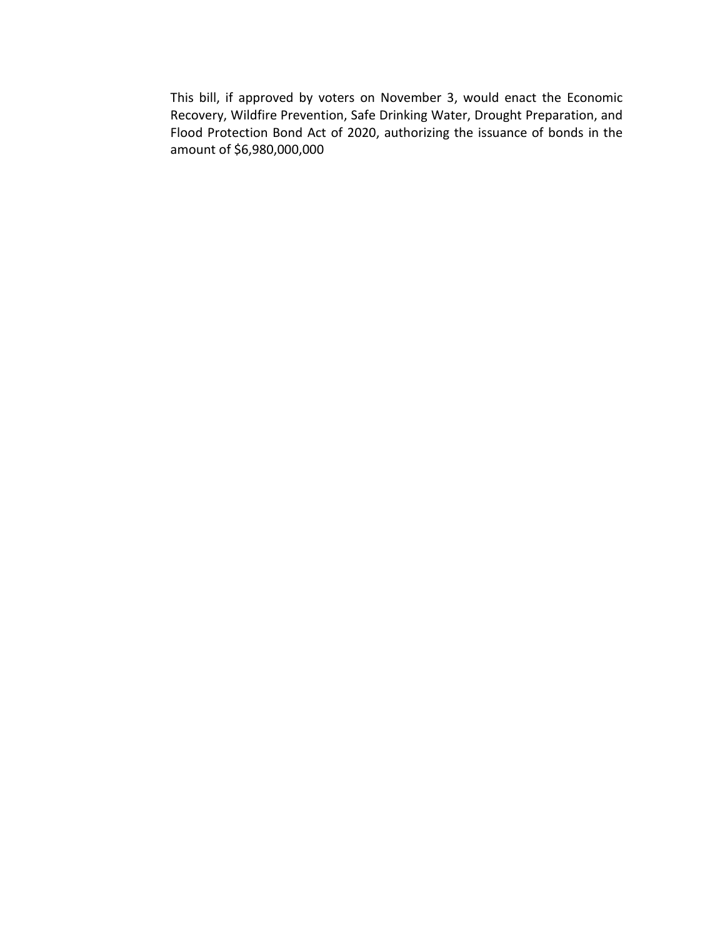This bill, if approved by voters on November 3, would enact the Economic Recovery, Wildfire Prevention, Safe Drinking Water, Drought Preparation, and Flood Protection Bond Act of 2020, authorizing the issuance of bonds in the amount of \$6,980,000,000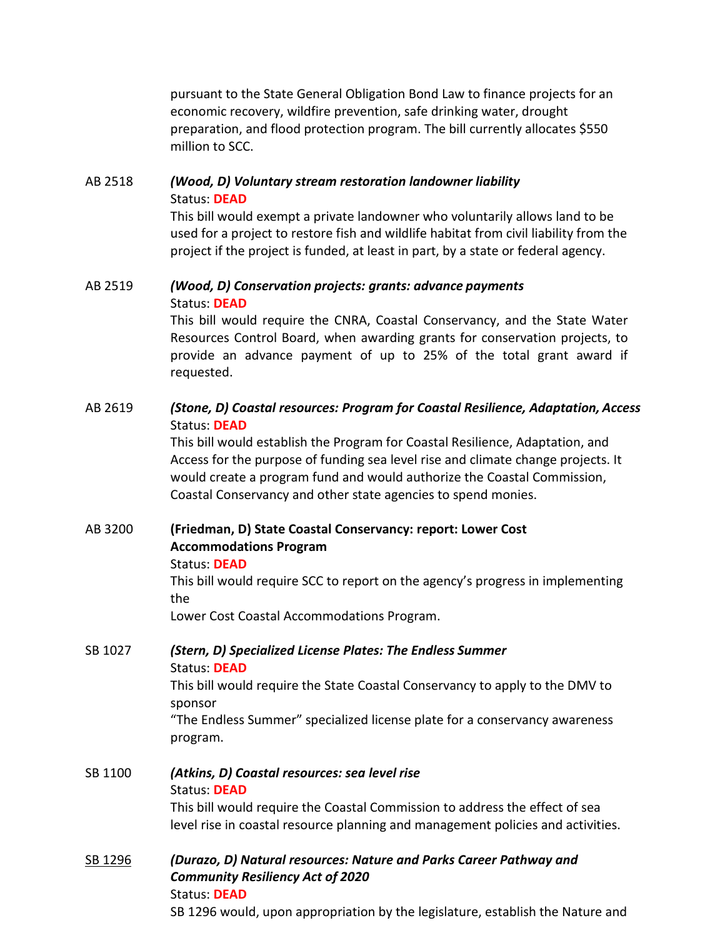pursuant to the State General Obligation Bond Law to finance projects for an economic recovery, wildfire prevention, safe drinking water, drought preparation, and flood protection program. The bill currently allocates \$550 million to SCC.

## AB [2518](http://leginfo.legislature.ca.gov/faces/billNavClient.xhtml?bill_id=201920200AB2518) *(Wood, D) Voluntary stream restoration landowner liability* Status: **DEAD**

This bill would exempt a private landowner who voluntarily allows land to be used for a project to restore fish and wildlife habitat from civil liability from the project if the project is funded, at least in part, by a state or federal agency.

## AB [2519](http://leginfo.legislature.ca.gov/faces/billNavClient.xhtml?bill_id=201920200AB2519) *(Wood, D) Conservation projects: grants: advance payments* Status: **DEAD**

This bill would require the CNRA, Coastal Conservancy, and the State Water Resources Control Board, when awarding grants for conservation projects, to provide an advance payment of up to 25% of the total grant award if requested.

## AB [2619](http://leginfo.legislature.ca.gov/faces/billNavClient.xhtml?bill_id=201920200AB2619) *(Stone, D) Coastal resources: Program for Coastal Resilience, Adaptation, Access* Status: **DEAD**

This bill would establish the Program for Coastal Resilience, Adaptation, and Access for the purpose of funding sea level rise and climate change projects. It would create a program fund and would authorize the Coastal Commission, Coastal Conservancy and other state agencies to spend monies.

# AB 3200 **(Friedman, D) State Coastal Conservancy: report: Lower Cost Accommodations Program**

## Status: **DEAD**

This bill would require SCC to report on the agency's progress in implementing the

Lower Cost Coastal Accommodations Program.

## SB 1027 *(Stern, D) Specialized License Plates: The Endless Summer* Status: **DEAD** This bill would require the State Coastal Conservancy to apply to the DMV to

sponsor

"The Endless Summer" specialized license plate for a conservancy awareness program.

## SB 1100 *(Atkins, D) Coastal resources: sea level rise* Status: **DEAD** This bill would require the Coastal Commission to address the effect of sea level rise in coastal resource planning and management policies and activities.

## SB [1296](http://leginfo.legislature.ca.gov/faces/billNavClient.xhtml?bill_id=201920200SB1296) *(Durazo, D) Natural resources: Nature and Parks Career Pathway and Community Resiliency Act of 2020* Status: **DEAD**

SB 1296 would, upon appropriation by the legislature, establish the Nature and